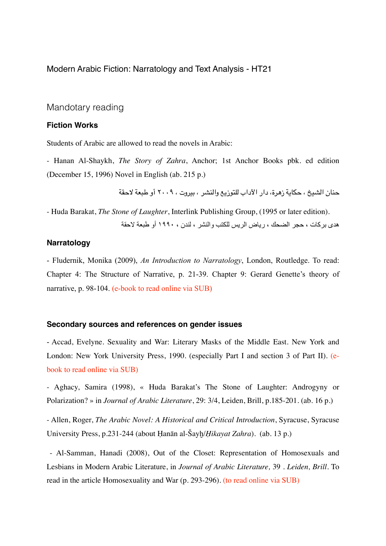Modern Arabic Fiction: Narratology and Text Analysis - HT21

Mandotary reading

# **Fiction Works**

Students of Arabic are allowed to read the novels in Arabic:

- Hanan Al-Shaykh, *The Story of Zahra*, Anchor; 1st Anchor Books pbk. ed edition (December 15, 1996) Novel in English (ab. 215 p.)

حنان الشيخ ، حكاية زهرة، دار الآداب للتوزيع والنشر ، ببروت ، ٢٠٠٩ أو طبعة لاحقة

- Huda Barakat, *The Stone of Laughter*, Interlink Publishing Group, (1995 or later edition). هدي بر كات ، حجر الضحك ، رياض الريس للكتب والنشر ، ندن ، ١٩٩٠ أو طبعة لاحقة

### **Narratology**

- Fludernik, Monika (2009), *An Introduction to Narratology*, London, Routledge. To read: Chapter 4: The Structure of Narrative, p. 21-39. Chapter 9: Gerard Genette's theory of narrative, p. 98-104. (e-book to read online via SUB)

### **Secondary sources and references on gender issues**

- Accad, Evelyne. Sexuality and War: Literary Masks of the Middle East. New York and London: New York University Press, 1990. (especially Part I and section 3 of Part II). (ebook to read online via SUB)

- Aghacy, Samira (1998), « Huda Barakat's The Stone of Laughter: Androgyny or Polarization? » in *Journal of Arabic Literature*, 29: 3/4, Leiden, Brill, p.185-201. (ab. 16 p.)

- Allen, Roger, *The Arabic Novel: A Historical and Critical Introduction*, Syracuse, Syracuse University Press, p.231-244 (about Ḥanān al-Šayḫ/*Ḥikayat Zahra*). (ab. 13 p.)

 - Al-Samman, Hanadi (2008), Out of the Closet: Representation of Homosexuals and Lesbians in Modern Arabic Literature, in *Journal of Arabic Literature,* 39 *. Leiden, Brill.* To read in the article Homosexuality and War (p. 293-296). (to read online via SUB)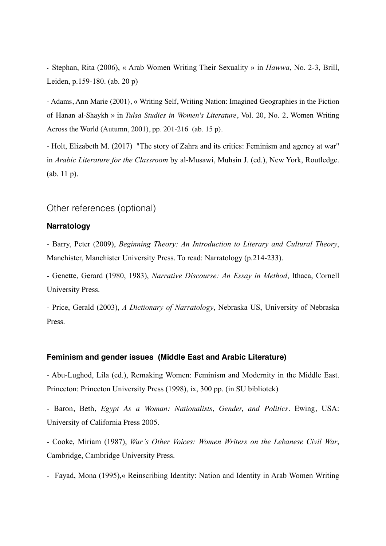**-** Stephan, Rita (2006), « Arab Women Writing Their Sexuality » in *Hawwa*, No. 2-3, Brill, Leiden, p.159-180. (ab. 20 p)

- Adams, Ann Marie (2001), « Writing Self, Writing Nation: Imagined Geographies in the Fiction of Hanan al-Shaykh » in *Tulsa Studies in Women's Literature*, Vol. 20, No. 2, Women Writing Across the World (Autumn, 2001), pp. 201-216 (ab. 15 p).

- Holt, Elizabeth M. (2017) "The story of Zahra and its critics: Feminism and agency at war" in *Arabic Literature for the Classroom* by al-Musawi, Muhsin J. (ed.), New York, Routledge. (ab. 11 p).

Other references (optional)

## **Narratology**

- Barry, Peter (2009), *Beginning Theory: An Introduction to Literary and Cultural Theory*, Manchister, Manchister University Press. To read: Narratology (p.214-233).

- Genette, Gerard (1980, 1983), *Narrative Discourse: An Essay in Method*, Ithaca, Cornell University Press.

- Price, Gerald (2003), *A Dictionary of Narratology*, Nebraska US, University of Nebraska Press.

### **Feminism and gender issues (Middle East and Arabic Literature)**

- Abu-Lughod, Lila (ed.), Remaking Women: Feminism and Modernity in the Middle East. Princeton: Princeton University Press (1998), ix, 300 pp. (in SU bibliotek)

- Baron, Beth, *Egypt As a Woman: Nationalists, Gender, and Politics*. Ewing, USA: University of California Press 2005.

- Cooke, Miriam (1987), *War's Other Voices: Women Writers on the Lebanese Civil War*, Cambridge, Cambridge University Press.

- Fayad, Mona (1995),« Reinscribing Identity: Nation and Identity in Arab Women Writing